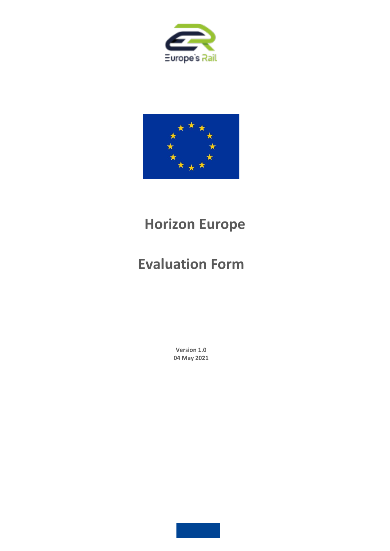



## **Horizon Europe**

# **Evaluation Form**

**Version 1.0 04 May 2021**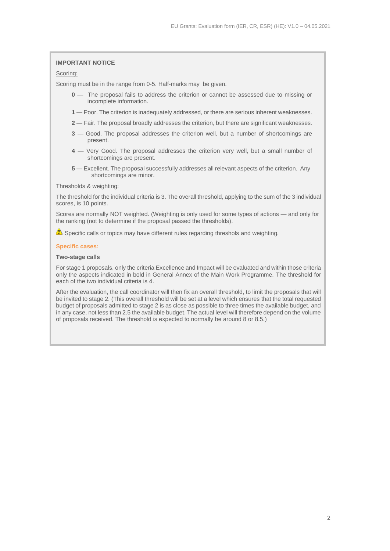#### **IMPORTANT NOTICE**

#### Scoring:

Scoring must be in the range from 0-5. Half-marks may be given.

- **0** The proposal fails to address the criterion or cannot be assessed due to missing or incomplete information.
- **1** Poor. The criterion is inadequately addressed, or there are serious inherent weaknesses.
- **2**  Fair. The proposal broadly addresses the criterion, but there are significant weaknesses.
- **3** Good. The proposal addresses the criterion well, but a number of shortcomings are present.
- **4** Very Good. The proposal addresses the criterion very well, but a small number of shortcomings are present.
- **5** Excellent. The proposal successfully addresses all relevant aspects of the criterion. Any shortcomings are minor.

#### Thresholds & weighting:

The threshold for the individual criteria is 3. The overall threshold, applying to the sum of the 3 individual scores, is 10 points.

Scores are normally NOT weighted. (Weighting is only used for some types of actions — and only for the ranking (not to determine if the proposal passed the thresholds).

 $\triangle$  Specific calls or topics may have different rules regarding threshols and weighting.

#### **Specific cases:**

#### **Two-stage calls**

For stage 1 proposals, only the criteria Excellence and Impact will be evaluated and within those criteria only the aspects indicated in bold in General Annex of the Main Work Programme. The threshold for each of the two individual criteria is 4.

After the evaluation, the call coordinator will then fix an overall threshold, to limit the proposals that will be invited to stage 2. (This overall threshold will be set at a level which ensures that the total requested budget of proposals admitted to stage 2 is as close as possible to three times the available budget, and in any case, not less than 2.5 the available budget. The actual level will therefore depend on the volume of proposals received. The threshold is expected to normally be around 8 or 8.5.)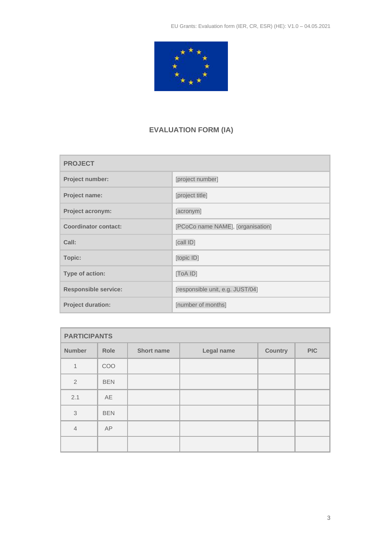

### **EVALUATION FORM (IA)**

| <b>PROJECT</b>              |                                   |  |
|-----------------------------|-----------------------------------|--|
| Project number:             | [project number]                  |  |
| <b>Project name:</b>        | [project title]                   |  |
| Project acronym:            | [acronym]                         |  |
| <b>Coordinator contact:</b> | [PCoCo name NAME], [organisation] |  |
| Call:                       | [call ID]                         |  |
| Topic:                      | [topic ID]                        |  |
| Type of action:             | [ToA ID]                          |  |
| <b>Responsible service:</b> | [responsible unit, e.g. JUST/04]  |  |
| <b>Project duration:</b>    | [number of months]                |  |

| <b>PARTICIPANTS</b> |            |                   |            |                |            |
|---------------------|------------|-------------------|------------|----------------|------------|
| <b>Number</b>       | Role       | <b>Short name</b> | Legal name | <b>Country</b> | <b>PIC</b> |
| $\mathbf{1}$        | COO        |                   |            |                |            |
| $\overline{2}$      | <b>BEN</b> |                   |            |                |            |
| 2.1                 | AE         |                   |            |                |            |
| 3                   | <b>BEN</b> |                   |            |                |            |
| $\overline{4}$      | AP         |                   |            |                |            |
|                     |            |                   |            |                |            |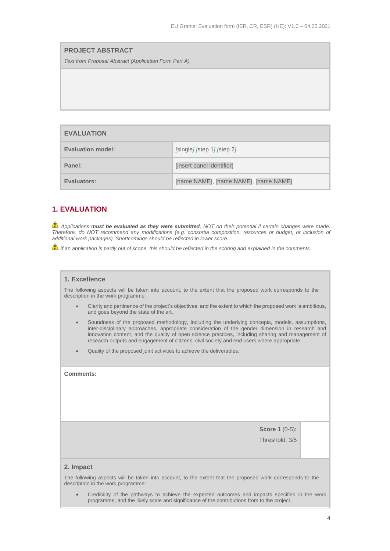| <b>PROJECT ABSTRACT</b>                                |  |  |
|--------------------------------------------------------|--|--|
| Text from Proposal Abstract (Application Form Part A). |  |  |
|                                                        |  |  |
|                                                        |  |  |
|                                                        |  |  |
|                                                        |  |  |

| <b>EVALUATION</b>        |                                       |
|--------------------------|---------------------------------------|
| <b>Evaluation model:</b> | $[single]$ [step 1] [step 2]          |
| Panel:                   | [insert panel identifier]             |
| Evaluators:              | [name NAME], [name NAME], [name NAME] |

### **1. EVALUATION**

*Applications must be evaluated as they were submitted, NOT on their potential if certain changes were made. Therefore, do NOT recommend any modifications (e.g. consortia composition, resources or budget, or inclusion of additional work packages). Shortcomings should be reflected in lower score.*

*If an application is partly out of scope, this should be reflected in the scoring and explained in the comments.*

#### **1. Excellence**

The following aspects will be taken into account, to the extent that the proposed work corresponds to the description in the work programme:

- Clarity and pertinence of the project's objectives, and the extent to which the proposed work is ambitious, and goes beyond the state of the art.
- Soundness of the proposed methodology, including the underlying concepts, models, assumptions, inter-disciplinary approaches, appropriate consideration of the gender dimension in research and innovation content, and the quality of open science practices, including sharing and management of research outputs and engagement of citizens, civil society and end users where appropriate.
- Quality of the proposed joint activities to achieve the deliverables.

**Comments:** 

**Score 1** (0-5)**:**

Threshold: 3/5

#### **2. Impact**

The following aspects will be taken into account, to the extent that the proposed work corresponds to the description in the work programme:

• Credibility of the pathways to achieve the expected outcomes and impacts specified in the work programme, and the likely scale and significance of the contributions from to the project.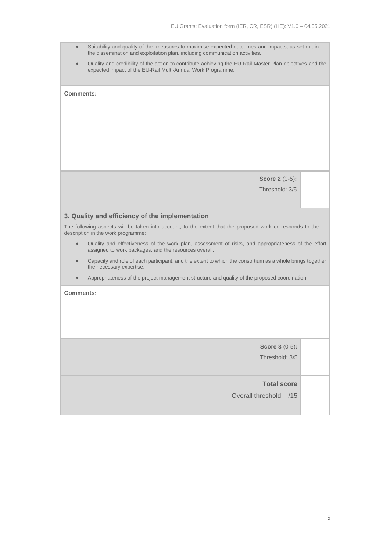- Suitability and quality of the measures to maximise expected outcomes and impacts, as set out in the dissemination and exploitation plan, including communication activities.
- Quality and credibility of the action to contribute achieving the EU-Rail Master Plan objectives and the expected impact of the EU-Rail Multi-Annual Work Programme.

| Comments:                                                                                                                                                                |  |  |
|--------------------------------------------------------------------------------------------------------------------------------------------------------------------------|--|--|
|                                                                                                                                                                          |  |  |
|                                                                                                                                                                          |  |  |
|                                                                                                                                                                          |  |  |
|                                                                                                                                                                          |  |  |
| <b>Score 2 (0-5):</b>                                                                                                                                                    |  |  |
| Threshold: 3/5                                                                                                                                                           |  |  |
|                                                                                                                                                                          |  |  |
| 3. Quality and efficiency of the implementation                                                                                                                          |  |  |
| The following aspects will be taken into account, to the extent that the proposed work corresponds to the<br>description in the work programme:                          |  |  |
| Quality and effectiveness of the work plan, assessment of risks, and appropriateness of the effort<br>$\bullet$<br>assigned to work packages, and the resources overall. |  |  |
| Capacity and role of each participant, and the extent to which the consortium as a whole brings together<br>$\bullet$<br>the necessary expertise.                        |  |  |
| Appropriateness of the project management structure and quality of the proposed coordination.<br>$\bullet$                                                               |  |  |
| Comments:                                                                                                                                                                |  |  |
|                                                                                                                                                                          |  |  |
|                                                                                                                                                                          |  |  |
|                                                                                                                                                                          |  |  |
| <b>Score 3 (0-5):</b>                                                                                                                                                    |  |  |
| Threshold: 3/5                                                                                                                                                           |  |  |
|                                                                                                                                                                          |  |  |
| <b>Total score</b>                                                                                                                                                       |  |  |
| Overall threshold /15                                                                                                                                                    |  |  |
|                                                                                                                                                                          |  |  |

в